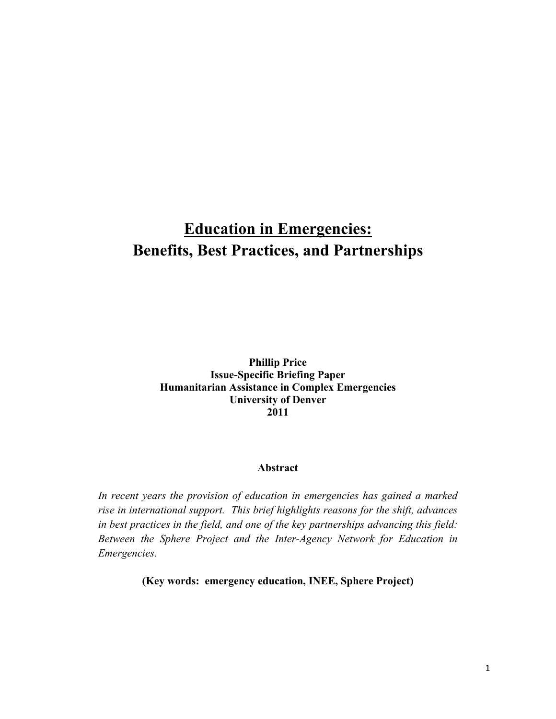# **Education in Emergencies: Benefits, Best Practices, and Partnerships**

**Phillip Price Issue-Specific Briefing Paper Humanitarian Assistance in Complex Emergencies University of Denver 2011**

## **Abstract**

*In recent years the provision of education in emergencies has gained a marked rise in international support. This brief highlights reasons for the shift, advances in best practices in the field, and one of the key partnerships advancing this field: Between the Sphere Project and the Inter-Agency Network for Education in Emergencies.*

**(Key words: emergency education, INEE, Sphere Project)**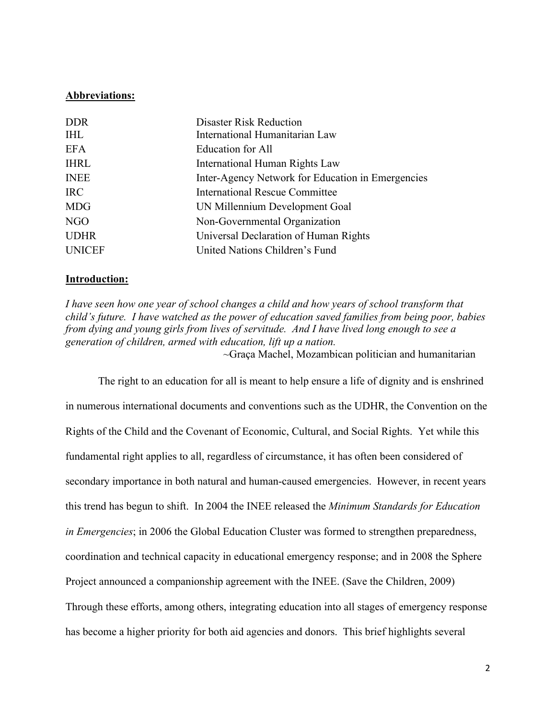## **Abbreviations:**

| <b>DDR</b>    | <b>Disaster Risk Reduction</b>                    |
|---------------|---------------------------------------------------|
| <b>IHL</b>    | International Humanitarian Law                    |
| <b>EFA</b>    | <b>Education for All</b>                          |
| <b>IHRL</b>   | International Human Rights Law                    |
| <b>INEE</b>   | Inter-Agency Network for Education in Emergencies |
| <b>IRC</b>    | <b>International Rescue Committee</b>             |
| <b>MDG</b>    | UN Millennium Development Goal                    |
| NGO           | Non-Governmental Organization                     |
| <b>UDHR</b>   | Universal Declaration of Human Rights             |
| <b>UNICEF</b> | United Nations Children's Fund                    |

## **Introduction:**

*I have seen how one year of school changes a child and how years of school transform that child's future. I have watched as the power of education saved families from being poor, babies from dying and young girls from lives of servitude. And I have lived long enough to see a generation of children, armed with education, lift up a nation.*  $\sim$ Graça Machel, Mozambican politician and humanitarian

The right to an education for all is meant to help ensure a life of dignity and is enshrined in numerous international documents and conventions such as the UDHR, the Convention on the Rights of the Child and the Covenant of Economic, Cultural, and Social Rights. Yet while this fundamental right applies to all, regardless of circumstance, it has often been considered of secondary importance in both natural and human-caused emergencies. However, in recent years this trend has begun to shift. In 2004 the INEE released the *Minimum Standards for Education in Emergencies*; in 2006 the Global Education Cluster was formed to strengthen preparedness, coordination and technical capacity in educational emergency response; and in 2008 the Sphere Project announced a companionship agreement with the INEE. (Save the Children, 2009) Through these efforts, among others, integrating education into all stages of emergency response has become a higher priority for both aid agencies and donors. This brief highlights several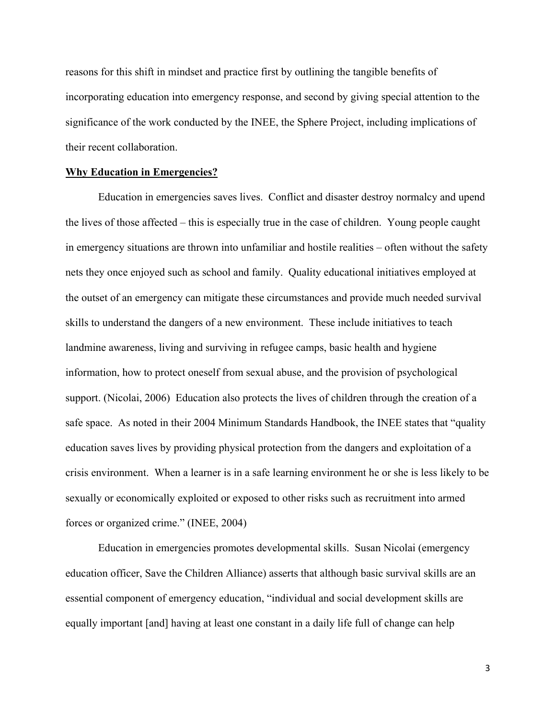reasons for this shift in mindset and practice first by outlining the tangible benefits of incorporating education into emergency response, and second by giving special attention to the significance of the work conducted by the INEE, the Sphere Project, including implications of their recent collaboration.

#### **Why Education in Emergencies?**

Education in emergencies saves lives. Conflict and disaster destroy normalcy and upend the lives of those affected – this is especially true in the case of children. Young people caught in emergency situations are thrown into unfamiliar and hostile realities – often without the safety nets they once enjoyed such as school and family. Quality educational initiatives employed at the outset of an emergency can mitigate these circumstances and provide much needed survival skills to understand the dangers of a new environment. These include initiatives to teach landmine awareness, living and surviving in refugee camps, basic health and hygiene information, how to protect oneself from sexual abuse, and the provision of psychological support. (Nicolai, 2006) Education also protects the lives of children through the creation of a safe space. As noted in their 2004 Minimum Standards Handbook, the INEE states that "quality education saves lives by providing physical protection from the dangers and exploitation of a crisis environment. When a learner is in a safe learning environment he or she is less likely to be sexually or economically exploited or exposed to other risks such as recruitment into armed forces or organized crime." (INEE, 2004)

Education in emergencies promotes developmental skills. Susan Nicolai (emergency education officer, Save the Children Alliance) asserts that although basic survival skills are an essential component of emergency education, "individual and social development skills are equally important [and] having at least one constant in a daily life full of change can help

3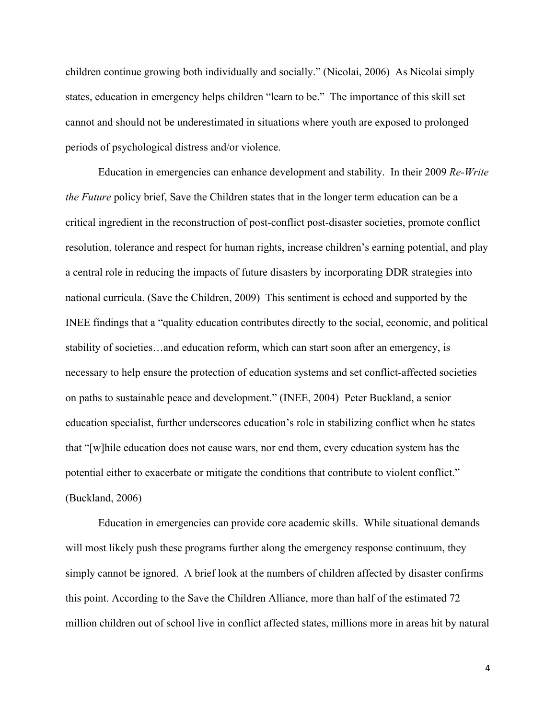children continue growing both individually and socially." (Nicolai, 2006) As Nicolai simply states, education in emergency helps children "learn to be." The importance of this skill set cannot and should not be underestimated in situations where youth are exposed to prolonged periods of psychological distress and/or violence.

Education in emergencies can enhance development and stability. In their 2009 *Re-Write the Future* policy brief, Save the Children states that in the longer term education can be a critical ingredient in the reconstruction of post-conflict post-disaster societies, promote conflict resolution, tolerance and respect for human rights, increase children's earning potential, and play a central role in reducing the impacts of future disasters by incorporating DDR strategies into national curricula. (Save the Children, 2009) This sentiment is echoed and supported by the INEE findings that a "quality education contributes directly to the social, economic, and political stability of societies…and education reform, which can start soon after an emergency, is necessary to help ensure the protection of education systems and set conflict-affected societies on paths to sustainable peace and development." (INEE, 2004) Peter Buckland, a senior education specialist, further underscores education's role in stabilizing conflict when he states that "[w]hile education does not cause wars, nor end them, every education system has the potential either to exacerbate or mitigate the conditions that contribute to violent conflict." (Buckland, 2006)

Education in emergencies can provide core academic skills. While situational demands will most likely push these programs further along the emergency response continuum, they simply cannot be ignored. A brief look at the numbers of children affected by disaster confirms this point. According to the Save the Children Alliance, more than half of the estimated 72 million children out of school live in conflict affected states, millions more in areas hit by natural

4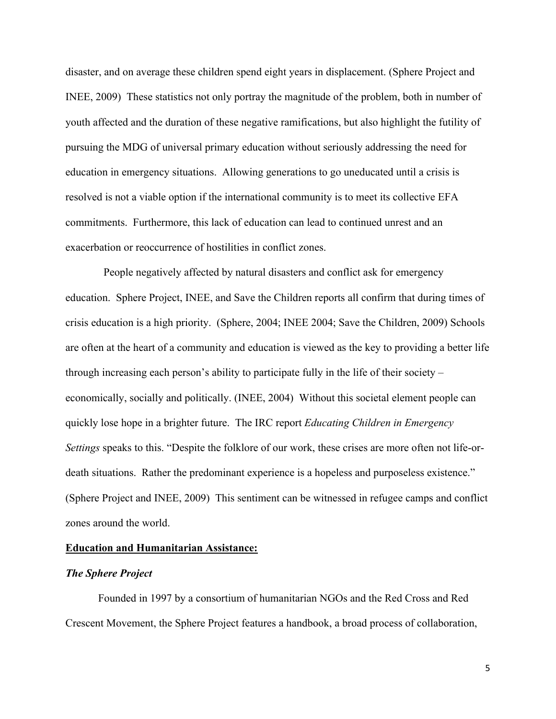disaster, and on average these children spend eight years in displacement. (Sphere Project and INEE, 2009) These statistics not only portray the magnitude of the problem, both in number of youth affected and the duration of these negative ramifications, but also highlight the futility of pursuing the MDG of universal primary education without seriously addressing the need for education in emergency situations. Allowing generations to go uneducated until a crisis is resolved is not a viable option if the international community is to meet its collective EFA commitments. Furthermore, this lack of education can lead to continued unrest and an exacerbation or reoccurrence of hostilities in conflict zones.

 People negatively affected by natural disasters and conflict ask for emergency education. Sphere Project, INEE, and Save the Children reports all confirm that during times of crisis education is a high priority. (Sphere, 2004; INEE 2004; Save the Children, 2009) Schools are often at the heart of a community and education is viewed as the key to providing a better life through increasing each person's ability to participate fully in the life of their society – economically, socially and politically. (INEE, 2004) Without this societal element people can quickly lose hope in a brighter future. The IRC report *Educating Children in Emergency Settings* speaks to this. "Despite the folklore of our work, these crises are more often not life-ordeath situations. Rather the predominant experience is a hopeless and purposeless existence." (Sphere Project and INEE, 2009) This sentiment can be witnessed in refugee camps and conflict zones around the world.

#### **Education and Humanitarian Assistance:**

# *The Sphere Project*

Founded in 1997 by a consortium of humanitarian NGOs and the Red Cross and Red Crescent Movement, the Sphere Project features a handbook, a broad process of collaboration,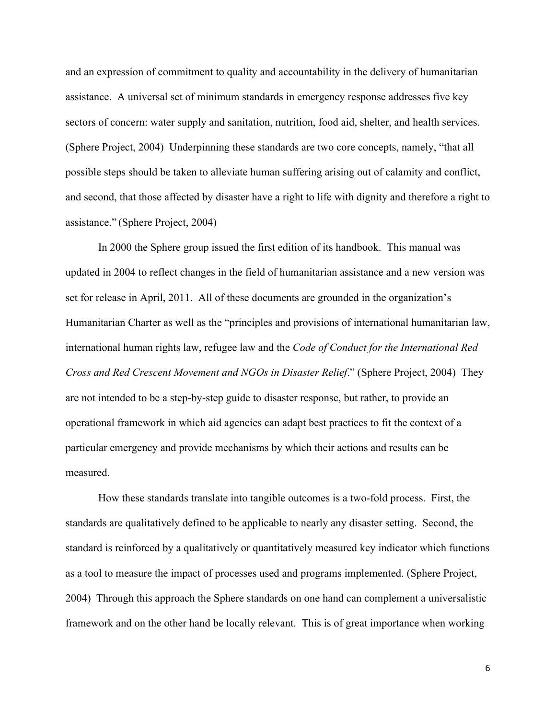and an expression of commitment to quality and accountability in the delivery of humanitarian assistance. A universal set of minimum standards in emergency response addresses five key sectors of concern: water supply and sanitation, nutrition, food aid, shelter, and health services. (Sphere Project, 2004) Underpinning these standards are two core concepts, namely, "that all possible steps should be taken to alleviate human suffering arising out of calamity and conflict, and second, that those affected by disaster have a right to life with dignity and therefore a right to assistance." (Sphere Project, 2004)

In 2000 the Sphere group issued the first edition of its handbook. This manual was updated in 2004 to reflect changes in the field of humanitarian assistance and a new version was set for release in April, 2011. All of these documents are grounded in the organization's Humanitarian Charter as well as the "principles and provisions of international humanitarian law, international human rights law, refugee law and the *Code of Conduct for the International Red Cross and Red Crescent Movement and NGOs in Disaster Relief*." (Sphere Project, 2004) They are not intended to be a step-by-step guide to disaster response, but rather, to provide an operational framework in which aid agencies can adapt best practices to fit the context of a particular emergency and provide mechanisms by which their actions and results can be measured.

How these standards translate into tangible outcomes is a two-fold process. First, the standards are qualitatively defined to be applicable to nearly any disaster setting. Second, the standard is reinforced by a qualitatively or quantitatively measured key indicator which functions as a tool to measure the impact of processes used and programs implemented. (Sphere Project, 2004) Through this approach the Sphere standards on one hand can complement a universalistic framework and on the other hand be locally relevant. This is of great importance when working

6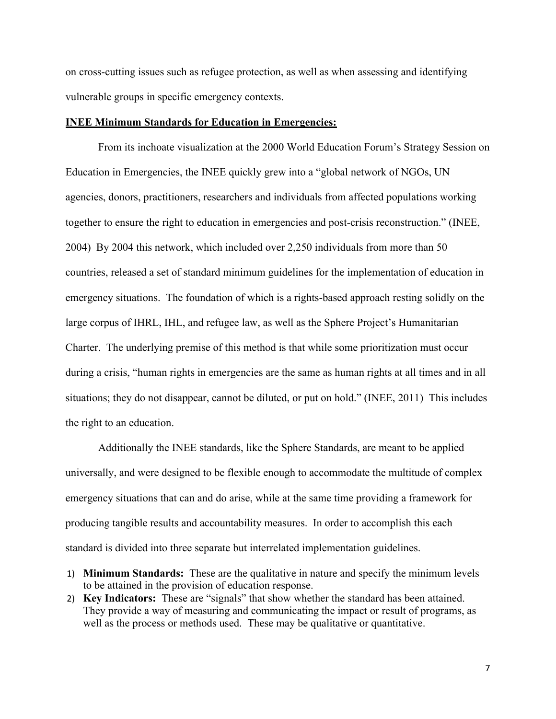on cross-cutting issues such as refugee protection, as well as when assessing and identifying vulnerable groups in specific emergency contexts.

### **INEE Minimum Standards for Education in Emergencies:**

From its inchoate visualization at the 2000 World Education Forum's Strategy Session on Education in Emergencies, the INEE quickly grew into a "global network of NGOs, UN agencies, donors, practitioners, researchers and individuals from affected populations working together to ensure the right to education in emergencies and post-crisis reconstruction." (INEE, 2004) By 2004 this network, which included over 2,250 individuals from more than 50 countries, released a set of standard minimum guidelines for the implementation of education in emergency situations. The foundation of which is a rights-based approach resting solidly on the large corpus of IHRL, IHL, and refugee law, as well as the Sphere Project's Humanitarian Charter. The underlying premise of this method is that while some prioritization must occur during a crisis, "human rights in emergencies are the same as human rights at all times and in all situations; they do not disappear, cannot be diluted, or put on hold." (INEE, 2011) This includes the right to an education.

Additionally the INEE standards, like the Sphere Standards, are meant to be applied universally, and were designed to be flexible enough to accommodate the multitude of complex emergency situations that can and do arise, while at the same time providing a framework for producing tangible results and accountability measures. In order to accomplish this each standard is divided into three separate but interrelated implementation guidelines.

- 1) **Minimum Standards:** These are the qualitative in nature and specify the minimum levels to be attained in the provision of education response.
- 2) **Key Indicators:** These are "signals" that show whether the standard has been attained. They provide a way of measuring and communicating the impact or result of programs, as well as the process or methods used. These may be qualitative or quantitative.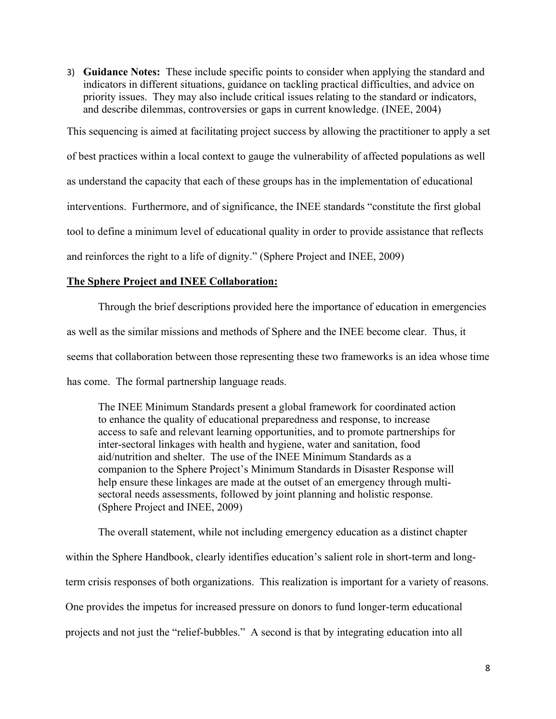3) **Guidance Notes:** These include specific points to consider when applying the standard and indicators in different situations, guidance on tackling practical difficulties, and advice on priority issues. They may also include critical issues relating to the standard or indicators, and describe dilemmas, controversies or gaps in current knowledge. (INEE, 2004)

This sequencing is aimed at facilitating project success by allowing the practitioner to apply a set

of best practices within a local context to gauge the vulnerability of affected populations as well

as understand the capacity that each of these groups has in the implementation of educational

interventions. Furthermore, and of significance, the INEE standards "constitute the first global

tool to define a minimum level of educational quality in order to provide assistance that reflects

and reinforces the right to a life of dignity." (Sphere Project and INEE, 2009)

# **The Sphere Project and INEE Collaboration:**

Through the brief descriptions provided here the importance of education in emergencies as well as the similar missions and methods of Sphere and the INEE become clear. Thus, it seems that collaboration between those representing these two frameworks is an idea whose time has come. The formal partnership language reads.

The INEE Minimum Standards present a global framework for coordinated action to enhance the quality of educational preparedness and response, to increase access to safe and relevant learning opportunities, and to promote partnerships for inter-sectoral linkages with health and hygiene, water and sanitation, food aid/nutrition and shelter. The use of the INEE Minimum Standards as a companion to the Sphere Project's Minimum Standards in Disaster Response will help ensure these linkages are made at the outset of an emergency through multisectoral needs assessments, followed by joint planning and holistic response. (Sphere Project and INEE, 2009)

The overall statement, while not including emergency education as a distinct chapter within the Sphere Handbook, clearly identifies education's salient role in short-term and longterm crisis responses of both organizations. This realization is important for a variety of reasons. One provides the impetus for increased pressure on donors to fund longer-term educational projects and not just the "relief-bubbles." A second is that by integrating education into all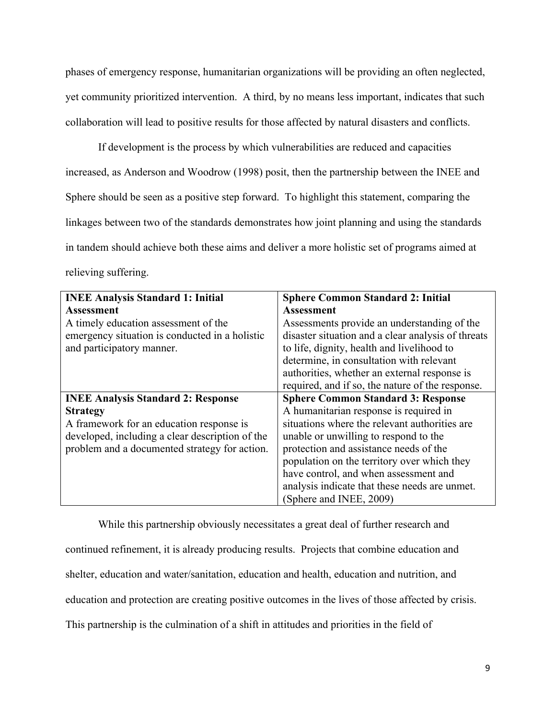phases of emergency response, humanitarian organizations will be providing an often neglected, yet community prioritized intervention. A third, by no means less important, indicates that such collaboration will lead to positive results for those affected by natural disasters and conflicts.

If development is the process by which vulnerabilities are reduced and capacities increased, as Anderson and Woodrow (1998) posit, then the partnership between the INEE and Sphere should be seen as a positive step forward. To highlight this statement, comparing the linkages between two of the standards demonstrates how joint planning and using the standards in tandem should achieve both these aims and deliver a more holistic set of programs aimed at relieving suffering.

| <b>INEE Analysis Standard 1: Initial</b>        | <b>Sphere Common Standard 2: Initial</b>           |
|-------------------------------------------------|----------------------------------------------------|
| <b>Assessment</b>                               | Assessment                                         |
| A timely education assessment of the            | Assessments provide an understanding of the        |
| emergency situation is conducted in a holistic  | disaster situation and a clear analysis of threats |
| and participatory manner.                       | to life, dignity, health and livelihood to         |
|                                                 | determine, in consultation with relevant           |
|                                                 | authorities, whether an external response is       |
|                                                 | required, and if so, the nature of the response.   |
| <b>INEE Analysis Standard 2: Response</b>       | <b>Sphere Common Standard 3: Response</b>          |
| <b>Strategy</b>                                 | A humanitarian response is required in             |
| A framework for an education response is        | situations where the relevant authorities are      |
| developed, including a clear description of the | unable or unwilling to respond to the              |
| problem and a documented strategy for action.   | protection and assistance needs of the             |
|                                                 | population on the territory over which they        |
|                                                 | have control, and when assessment and              |
|                                                 | analysis indicate that these needs are unmet.      |
|                                                 | (Sphere and INEE, 2009)                            |

While this partnership obviously necessitates a great deal of further research and continued refinement, it is already producing results. Projects that combine education and shelter, education and water/sanitation, education and health, education and nutrition, and education and protection are creating positive outcomes in the lives of those affected by crisis. This partnership is the culmination of a shift in attitudes and priorities in the field of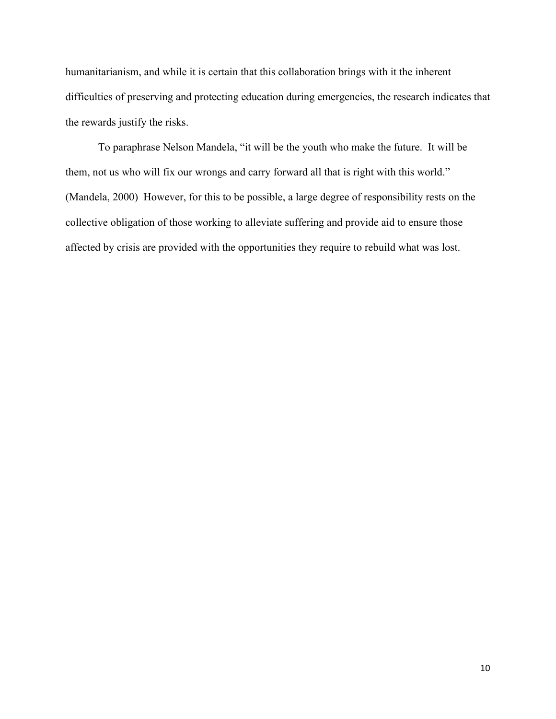humanitarianism, and while it is certain that this collaboration brings with it the inherent difficulties of preserving and protecting education during emergencies, the research indicates that the rewards justify the risks.

To paraphrase Nelson Mandela, "it will be the youth who make the future. It will be them, not us who will fix our wrongs and carry forward all that is right with this world." (Mandela, 2000) However, for this to be possible, a large degree of responsibility rests on the collective obligation of those working to alleviate suffering and provide aid to ensure those affected by crisis are provided with the opportunities they require to rebuild what was lost.